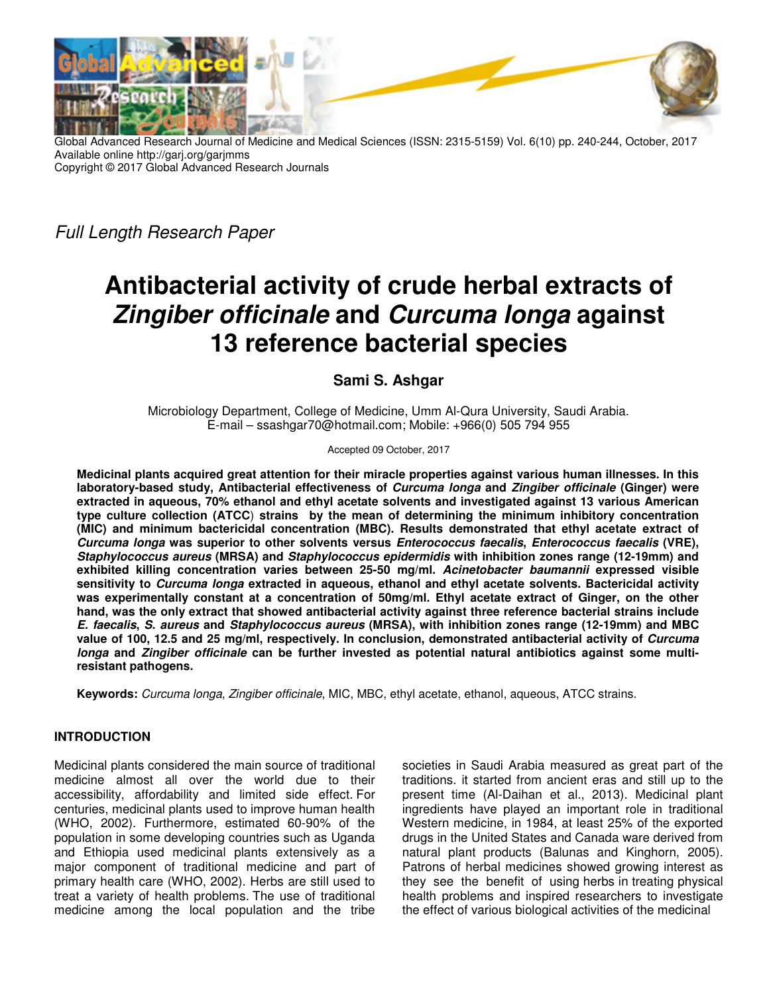

Global Advanced Research Journal of Medicine and Medical Sciences (ISSN: 2315-5159) Vol. 6(10) pp. 240-244, October, 2017 Available online http://garj.org/garjmms Copyright © 2017 Global Advanced Research Journals

Full Length Research Paper

# **Antibacterial activity of crude herbal extracts of Zingiber officinale and Curcuma longa against 13 reference bacterial species**

# **Sami S. Ashgar**

Microbiology Department, College of Medicine, Umm Al-Qura University, Saudi Arabia. E-mail – ssashgar70@hotmail.com; Mobile: +966(0) 505 794 955

Accepted 09 October, 2017

**Medicinal plants acquired great attention for their miracle properties against various human illnesses. In this laboratory-based study, Antibacterial effectiveness of Curcuma longa and Zingiber officinale (Ginger) were extracted in aqueous, 70% ethanol and ethyl acetate solvents and investigated against 13 various American type culture collection (ATCC**) **strains by the mean of determining the minimum inhibitory concentration (MIC) and minimum bactericidal concentration (MBC). Results demonstrated that ethyl acetate extract of Curcuma longa was superior to other solvents versus Enterococcus faecalis, Enterococcus faecalis (VRE), Staphylococcus aureus (MRSA) and Staphylococcus epidermidis with inhibition zones range (12-19mm) and exhibited killing concentration varies between 25-50 mg/ml. Acinetobacter baumannii expressed visible sensitivity to Curcuma longa extracted in aqueous, ethanol and ethyl acetate solvents. Bactericidal activity was experimentally constant at a concentration of 50mg/ml. Ethyl acetate extract of Ginger, on the other hand, was the only extract that showed antibacterial activity against three reference bacterial strains include E. faecalis, S. aureus and Staphylococcus aureus (MRSA), with inhibition zones range (12-19mm) and MBC value of 100, 12.5 and 25 mg/ml, respectively. In conclusion, demonstrated antibacterial activity of Curcuma longa and Zingiber officinale can be further invested as potential natural antibiotics against some multiresistant pathogens.** 

**Keywords:** Curcuma longa, Zingiber officinale, MIC, MBC, ethyl acetate, ethanol, aqueous, ATCC strains.

# **INTRODUCTION**

Medicinal plants considered the main source of traditional medicine almost all over the world due to their accessibility, affordability and limited side effect. For centuries, medicinal plants used to improve human health (WHO, 2002). Furthermore, estimated 60-90% of the population in some developing countries such as Uganda and Ethiopia used medicinal plants extensively as a major component of traditional medicine and part of primary health care (WHO, 2002). Herbs are still used to treat a variety of health problems. The use of traditional medicine among the local population and the tribe

societies in Saudi Arabia measured as great part of the traditions. it started from ancient eras and still up to the present time (Al-Daihan et al., 2013). Medicinal plant ingredients have played an important role in traditional Western medicine, in 1984, at least 25% of the exported drugs in the United States and Canada ware derived from natural plant products (Balunas and Kinghorn, 2005). Patrons of herbal medicines showed growing interest as they see the benefit of using herbs in treating physical health problems and inspired researchers to investigate the effect of various biological activities of the medicinal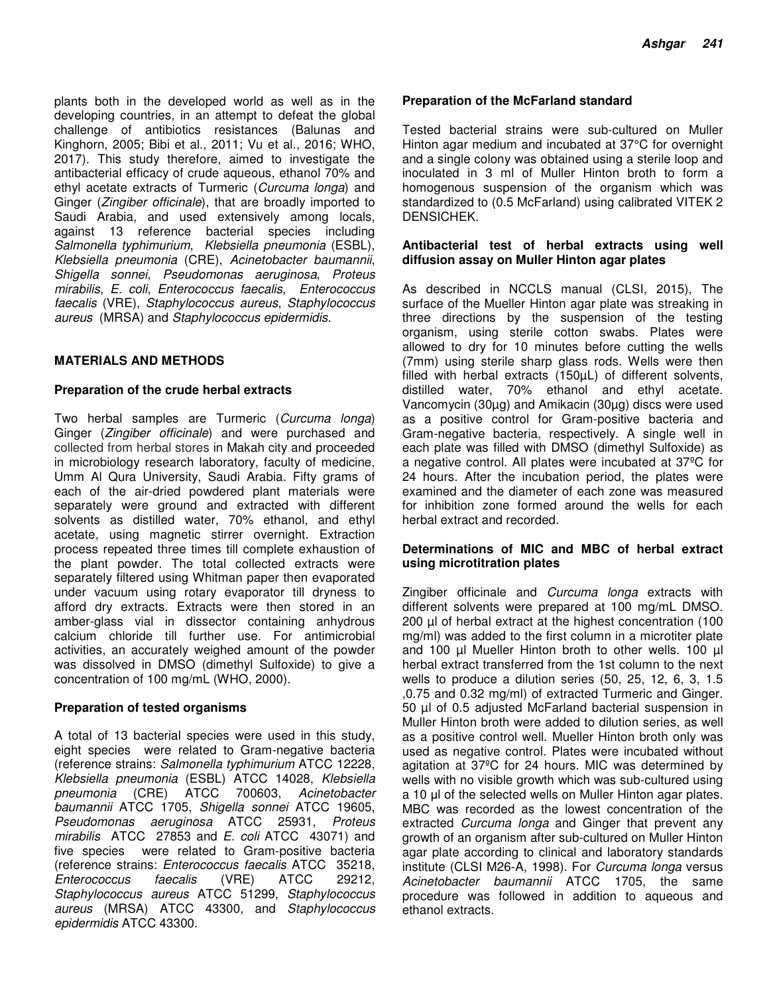plants both in the developed world as well as in the developing countries, in an attempt to defeat the global challenge of antibiotics resistances (Balunas and Kinghorn, 2005; Bibi et al., 2011; Vu et al., 2016; WHO, 2017). This study therefore, aimed to investigate the antibacterial efficacy of crude aqueous, ethanol 70% and ethyl acetate extracts of Turmeric (Curcuma longa) and Ginger (Zingiber officinale), that are broadly imported to Saudi Arabia, and used extensively among locals, against 13 reference bacterial species including Salmonella typhimurium, Klebsiella pneumonia (ESBL), Klebsiella pneumonia (CRE), Acinetobacter baumannii, Shigella sonnei, Pseudomonas aeruginosa, Proteus mirabilis, E. coli, Enterococcus faecalis, Enterococcus faecalis (VRE), Staphylococcus aureus, Staphylococcus aureus (MRSA) and Staphylococcus epidermidis.

# **MATERIALS AND METHODS**

# **Preparation of the crude herbal extracts**

Two herbal samples are Turmeric (Curcuma longa) Ginger (Zingiber officinale) and were purchased and collected from herbal stores in Makah city and proceeded in microbiology research laboratory, faculty of medicine, Umm Al Qura University, Saudi Arabia. Fifty grams of each of the air-dried powdered plant materials were separately were ground and extracted with different solvents as distilled water, 70% ethanol, and ethyl acetate, using magnetic stirrer overnight. Extraction process repeated three times till complete exhaustion of the plant powder. The total collected extracts were separately filtered using Whitman paper then evaporated under vacuum using rotary evaporator till dryness to afford dry extracts. Extracts were then stored in an amber-glass vial in dissector containing anhydrous calcium chloride till further use. For antimicrobial activities, an accurately weighed amount of the powder was dissolved in DMSO (dimethyl Sulfoxide) to give a concentration of 100 mg/mL (WHO, 2000).

#### **Preparation of tested organisms**

A total of 13 bacterial species were used in this study, eight species were related to Gram-negative bacteria (reference strains: Salmonella typhimurium ATCC 12228, Klebsiella pneumonia (ESBL) ATCC 14028, Klebsiella pneumonia (CRE) ATCC 700603, Acinetobacter baumannii ATCC 1705, Shigella sonnei ATCC 19605, Pseudomonas aeruginosa ATCC 25931, Proteus mirabilis ATCC 27853 and E. coli ATCC 43071) and five species were related to Gram-positive bacteria (reference strains: Enterococcus faecalis ATCC 35218, Enterococcus faecalis (VRE) ATCC 29212, Staphylococcus aureus ATCC 51299, Staphylococcus aureus (MRSA) ATCC 43300, and Staphylococcus epidermidis ATCC 43300.

# **Preparation of the McFarland standard**

Tested bacterial strains were sub-cultured on Muller Hinton agar medium and incubated at 37°C for overnight and a single colony was obtained using a sterile loop and inoculated in 3 ml of Muller Hinton broth to form a homogenous suspension of the organism which was standardized to (0.5 McFarland) using calibrated VITEK 2 DENSICHEK.

#### **Antibacterial test of herbal extracts using well diffusion assay on Muller Hinton agar plates**

As described in NCCLS manual (CLSI, 2015), The surface of the Mueller Hinton agar plate was streaking in three directions by the suspension of the testing organism, using sterile cotton swabs. Plates were allowed to dry for 10 minutes before cutting the wells (7mm) using sterile sharp glass rods. Wells were then filled with herbal extracts (150µL) of different solvents, distilled water, 70% ethanol and ethyl acetate. Vancomycin (30µg) and Amikacin (30µg) discs were used as a positive control for Gram-positive bacteria and Gram-negative bacteria, respectively. A single well in each plate was filled with DMSO (dimethyl Sulfoxide) as a negative control. All plates were incubated at 37ºC for 24 hours. After the incubation period, the plates were examined and the diameter of each zone was measured for inhibition zone formed around the wells for each herbal extract and recorded.

#### **Determinations of MIC and MBC of herbal extract using microtitration plates**

Zingiber officinale and Curcuma longa extracts with different solvents were prepared at 100 mg/mL DMSO. 200 µl of herbal extract at the highest concentration (100 mg/ml) was added to the first column in a microtiter plate and 100 µl Mueller Hinton broth to other wells. 100 µl herbal extract transferred from the 1st column to the next wells to produce a dilution series (50, 25, 12, 6, 3, 1.5 ,0.75 and 0.32 mg/ml) of extracted Turmeric and Ginger. 50 µl of 0.5 adjusted McFarland bacterial suspension in Muller Hinton broth were added to dilution series, as well as a positive control well. Mueller Hinton broth only was used as negative control. Plates were incubated without agitation at 37ºC for 24 hours. MIC was determined by wells with no visible growth which was sub-cultured using a 10 µl of the selected wells on Muller Hinton agar plates. MBC was recorded as the lowest concentration of the extracted Curcuma longa and Ginger that prevent any growth of an organism after sub-cultured on Muller Hinton agar plate according to clinical and laboratory standards institute (CLSI M26-A, 1998). For Curcuma longa versus Acinetobacter baumannii ATCC 1705, the same procedure was followed in addition to aqueous and ethanol extracts.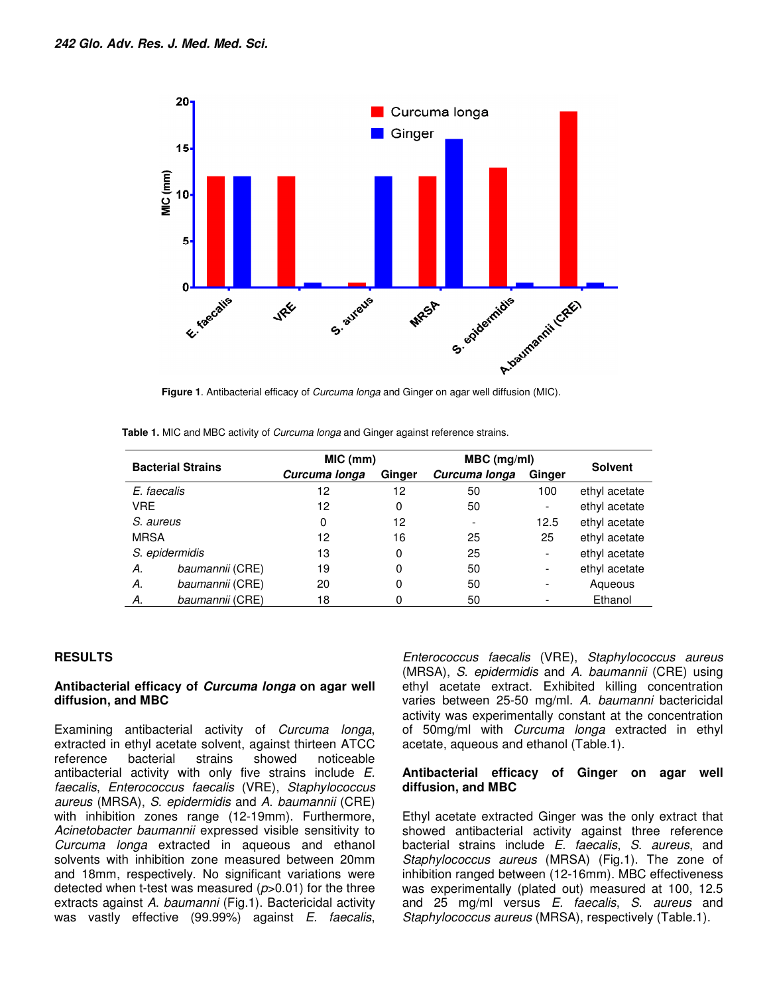

**Figure 1**. Antibacterial efficacy of Curcuma longa and Ginger on agar well diffusion (MIC).

**Table 1.** MIC and MBC activity of Curcuma longa and Ginger against reference strains.

| <b>Bacterial Strains</b> |                 | MIC (mm)      |        | $MBC$ (mg/ml) |                          |                |
|--------------------------|-----------------|---------------|--------|---------------|--------------------------|----------------|
|                          |                 | Curcuma longa | Ginger | Curcuma Ionga | Ginger                   | <b>Solvent</b> |
| E. faecalis              |                 | 12            | 12     | 50            | 100                      | ethyl acetate  |
| <b>VRE</b>               |                 | 12            | 0      | 50            |                          | ethyl acetate  |
| S. aureus                |                 | 0             | 12     |               | 12.5                     | ethyl acetate  |
| <b>MRSA</b>              |                 | 12            | 16     | 25            | 25                       | ethyl acetate  |
| S. epidermidis           |                 | 13            | 0      | 25            | $\overline{\phantom{a}}$ | ethyl acetate  |
| А.                       | baumannii (CRE) | 19            | 0      | 50            |                          | ethyl acetate  |
| А.                       | baumannii (CRE) | 20            | 0      | 50            |                          | Aqueous        |
| А.                       | baumannii (CRE) | 18            | 0      | 50            |                          | Ethanol        |

#### **RESULTS**

#### **Antibacterial efficacy of Curcuma longa on agar well diffusion, and MBC**

Examining antibacterial activity of Curcuma longa, extracted in ethyl acetate solvent, against thirteen ATCC reference bacterial strains showed noticeable antibacterial activity with only five strains include E. faecalis, Enterococcus faecalis (VRE), Staphylococcus aureus (MRSA), S. epidermidis and A. baumannii (CRE) with inhibition zones range (12-19mm). Furthermore, Acinetobacter baumannii expressed visible sensitivity to Curcuma longa extracted in aqueous and ethanol solvents with inhibition zone measured between 20mm and 18mm, respectively. No significant variations were detected when t-test was measured  $(p>0.01)$  for the three extracts against A. baumanni (Fig.1). Bactericidal activity was vastly effective (99.99%) against E. faecalis, Enterococcus faecalis (VRE), Staphylococcus aureus (MRSA), S. epidermidis and A. baumannii (CRE) using ethyl acetate extract. Exhibited killing concentration varies between 25-50 mg/ml. A. baumanni bactericidal activity was experimentally constant at the concentration of 50mg/ml with Curcuma longa extracted in ethyl acetate, aqueous and ethanol (Table.1).

#### **Antibacterial efficacy of Ginger on agar well diffusion, and MBC**

Ethyl acetate extracted Ginger was the only extract that showed antibacterial activity against three reference bacterial strains include E. faecalis, S. aureus, and Staphylococcus aureus (MRSA) (Fig.1). The zone of inhibition ranged between (12-16mm). MBC effectiveness was experimentally (plated out) measured at 100, 12.5 and 25 mg/ml versus E. faecalis, S. aureus and Staphylococcus aureus (MRSA), respectively (Table.1).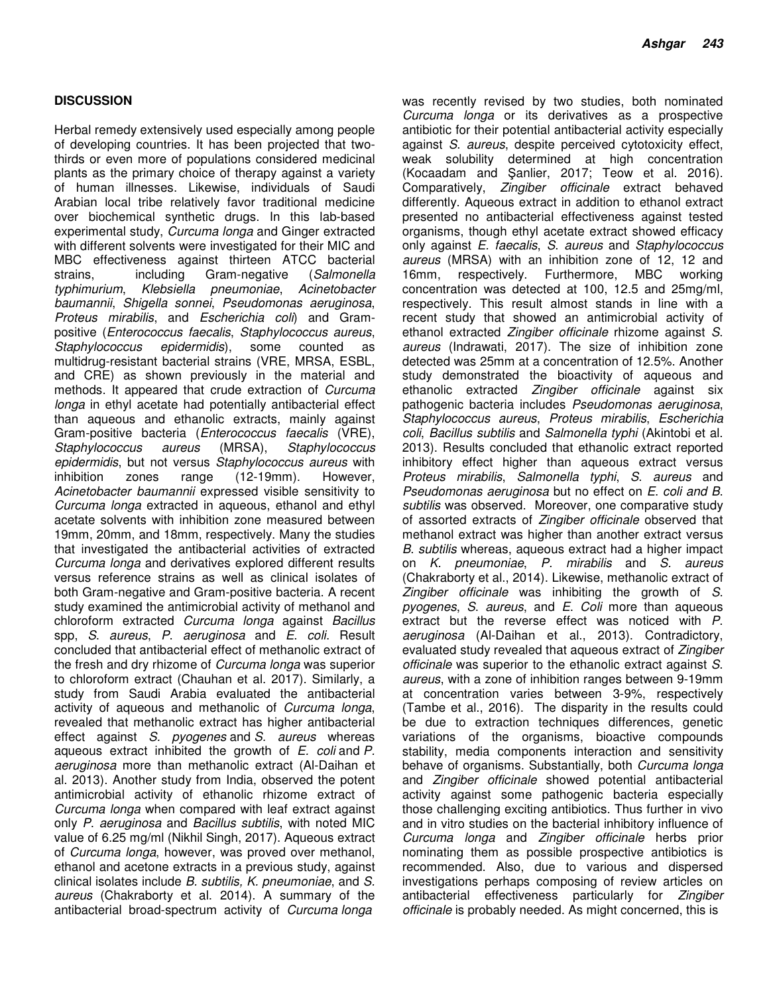# **DISCUSSION**

Herbal remedy extensively used especially among people of developing countries. It has been projected that twothirds or even more of populations considered medicinal plants as the primary choice of therapy against a variety of human illnesses. Likewise, individuals of Saudi Arabian local tribe relatively favor traditional medicine over biochemical synthetic drugs. In this lab-based experimental study, Curcuma longa and Ginger extracted with different solvents were investigated for their MIC and MBC effectiveness against thirteen ATCC bacterial strains, including Gram-negative (Salmonella typhimurium, Klebsiella pneumoniae, Acinetobacter baumannii, Shigella sonnei, Pseudomonas aeruginosa, Proteus mirabilis, and Escherichia coli) and Grampositive (Enterococcus faecalis, Staphylococcus aureus, Staphylococcus epidermidis), some counted as multidrug-resistant bacterial strains (VRE, MRSA, ESBL, and CRE) as shown previously in the material and methods. It appeared that crude extraction of Curcuma longa in ethyl acetate had potentially antibacterial effect than aqueous and ethanolic extracts, mainly against Gram-positive bacteria (Enterococcus faecalis (VRE), Staphylococcus aureus (MRSA), Staphylococcus epidermidis, but not versus Staphylococcus aureus with inhibition zones range (12-19mm). However, Acinetobacter baumannii expressed visible sensitivity to Curcuma longa extracted in aqueous, ethanol and ethyl acetate solvents with inhibition zone measured between 19mm, 20mm, and 18mm, respectively. Many the studies that investigated the antibacterial activities of extracted Curcuma longa and derivatives explored different results versus reference strains as well as clinical isolates of both Gram-negative and Gram-positive bacteria. A recent study examined the antimicrobial activity of methanol and chloroform extracted Curcuma longa against Bacillus spp, S. aureus, P. aeruginosa and E. coli. Result concluded that antibacterial effect of methanolic extract of the fresh and dry rhizome of Curcuma longa was superior to chloroform extract (Chauhan et al. 2017). Similarly, a study from Saudi Arabia evaluated the antibacterial activity of aqueous and methanolic of Curcuma longa, revealed that methanolic extract has higher antibacterial effect against S. pyogenes and S. aureus whereas aqueous extract inhibited the growth of  $E$ . coli and  $P$ . aeruginosa more than methanolic extract (Al-Daihan et al. 2013). Another study from India, observed the potent antimicrobial activity of ethanolic rhizome extract of Curcuma longa when compared with leaf extract against only P. aeruginosa and Bacillus subtilis, with noted MIC value of 6.25 mg/ml (Nikhil Singh, 2017). Aqueous extract of Curcuma longa, however, was proved over methanol, ethanol and acetone extracts in a previous study, against clinical isolates include B. subtilis, K. pneumoniae, and S. aureus (Chakraborty et al. 2014). A summary of the antibacterial broad-spectrum activity of Curcuma longa

was recently revised by two studies, both nominated Curcuma longa or its derivatives as a prospective antibiotic for their potential antibacterial activity especially against S. aureus, despite perceived cytotoxicity effect, weak solubility determined at high concentration (Kocaadam and Şanlier, 2017; Teow et al. 2016). Comparatively, Zingiber officinale extract behaved differently. Aqueous extract in addition to ethanol extract presented no antibacterial effectiveness against tested organisms, though ethyl acetate extract showed efficacy only against E. faecalis, S. aureus and Staphylococcus aureus (MRSA) with an inhibition zone of 12, 12 and 16mm, respectively. Furthermore, MBC working concentration was detected at 100, 12.5 and 25mg/ml, respectively. This result almost stands in line with a recent study that showed an antimicrobial activity of ethanol extracted Zingiber officinale rhizome against S. aureus (Indrawati, 2017). The size of inhibition zone detected was 25mm at a concentration of 12.5%. Another study demonstrated the bioactivity of aqueous and ethanolic extracted Zingiber officinale against six pathogenic bacteria includes Pseudomonas aeruginosa, Staphylococcus aureus, Proteus mirabilis, Escherichia coli, Bacillus subtilis and Salmonella typhi (Akintobi et al. 2013). Results concluded that ethanolic extract reported inhibitory effect higher than aqueous extract versus Proteus mirabilis, Salmonella typhi, S. aureus and Pseudomonas aeruginosa but no effect on E. coli and B. subtilis was observed. Moreover, one comparative study of assorted extracts of Zingiber officinale observed that methanol extract was higher than another extract versus B. subtilis whereas, aqueous extract had a higher impact on K. pneumoniae, P. mirabilis and S. aureus (Chakraborty et al., 2014). Likewise, methanolic extract of Zingiber officinale was inhibiting the growth of S. pyogenes, S. aureus, and E. Coli more than aqueous extract but the reverse effect was noticed with P. aeruginosa (Al-Daihan et al., 2013). Contradictory, evaluated study revealed that aqueous extract of Zingiber officinale was superior to the ethanolic extract against S. aureus, with a zone of inhibition ranges between 9-19mm at concentration varies between 3-9%, respectively (Tambe et al., 2016). The disparity in the results could be due to extraction techniques differences, genetic variations of the organisms, bioactive compounds stability, media components interaction and sensitivity behave of organisms. Substantially, both Curcuma longa and Zingiber officinale showed potential antibacterial activity against some pathogenic bacteria especially those challenging exciting antibiotics. Thus further in vivo and in vitro studies on the bacterial inhibitory influence of Curcuma longa and Zingiber officinale herbs prior nominating them as possible prospective antibiotics is recommended. Also, due to various and dispersed investigations perhaps composing of review articles on antibacterial effectiveness particularly for Zingiber officinale is probably needed. As might concerned, this is